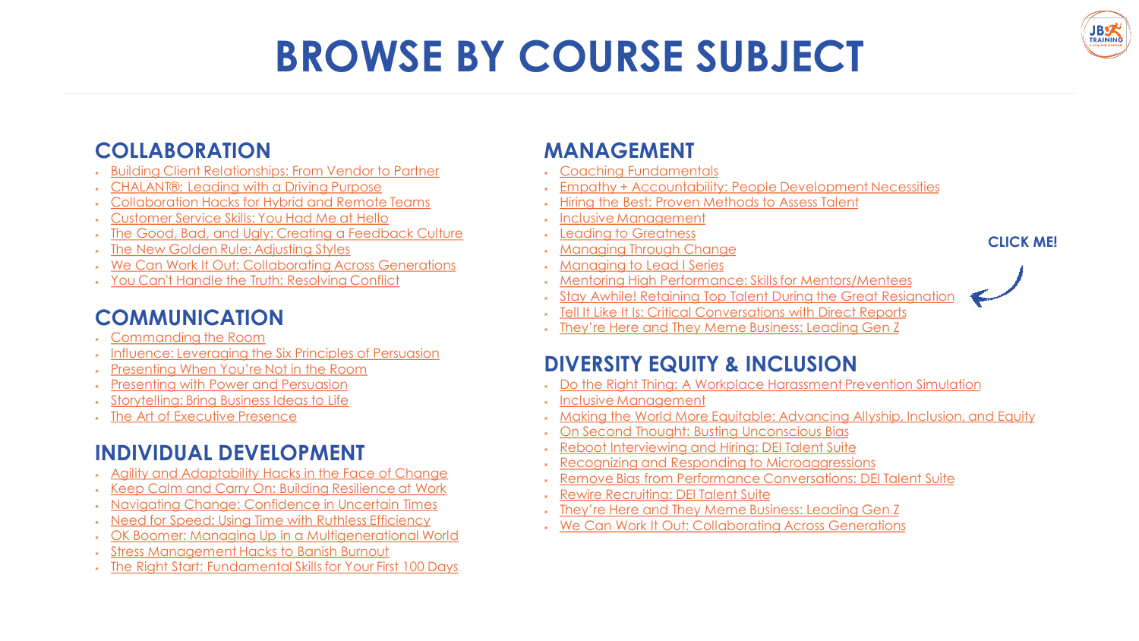# **BROWSE BY COURSE SUBJECT**

#### **COLLABORATION**

- [Building Client Relationships: From Vendor to Partner](https://jbtrainingsolutions.com/training/building-client-relationships-2/)
- [CHALANT®: Leading with a Driving Purpose](https://jbtrainingsolutions.com/training/chalant/)
- [Collaboration Hacks for Hybrid and Remote Teams](https://jbtrainingsolutions.com/training/collaboration-hacks/)
- [Customer Service Skills: You Had Me at Hello](https://jbtrainingsolutions.com/training/customer-service-skills/)
- [The Good, Bad, and Ugly: Creating a Feedback Culture](https://jbtrainingsolutions.com/training/good-bad-ugly-culture/)
- [The New Golden Rule: Adjusting Styles](https://jbtrainingsolutions.com/training/the-new-golden-rule/)
- [We Can Work It Out: Collaborating Across Generations](https://jbtrainingsolutions.com/training/we-can-work-it-out/)
- You Can't Handle the Truth: Resolving Conflict

#### **COMMUNICATION**

- [Commanding the Room](https://jbtrainingsolutions.com/training/commanding-the-room-2/)
- [Influence: Leveraging the Six Principles of Persuasion](https://jbtrainingsolutions.com/training/the-six-principles-of-influence/)
- [Presenting When You're Not in the Room](https://jbtrainingsolutions.com/training/presenting-when-youre-not-in-the-room/)
- [Presenting with Power and Persuasion](https://jbtrainingsolutions.com/training/presenting-with-power-and-persuasion/)
- [Storytelling: Bring Business Ideas to Life](https://jbtrainingsolutions.com/training/storytelling/)
- [The Art of Executive Presence](https://jbtrainingsolutions.com/training/the-art-of-executive-presence/)

### **INDIVIDUAL DEVELOPMENT**

- [Agility and Adaptability Hacks in the Face of Change](https://jbtrainingsolutions.com/training/agility-and-adaptability-hacks/)
- [Keep Calm and Carry On: Building Resilience at Work](https://jbtrainingsolutions.com/training/building-resilience/)
- [Navigating Change: Confidence in Uncertain Times](https://jbtrainingsolutions.com/training/navigating-change/)
- [Need for Speed: Using Time with Ruthless Efficiency](https://jbtrainingsolutions.com/training/need-for-speed/)
- [OK Boomer: Managing Up in a Multigenerational World](https://jbtrainingsolutions.com/training/ok-boomer/)
- [Stress Management Hacks to Banish Burnout](https://jbtrainingsolutions.com/training/stress-management-hacks/)
- [The Right Start: Fundamental Skills for Your First 100 Days](https://jbtrainingsolutions.com/training/the-right-start/)

### **MANAGEMENT**

- [Coaching Fundamentals](https://jbtrainingsolutions.com/training/coaching-from-afar/)
- [Empathy + Accountability: People Development Necessities](https://jbtrainingsolutions.com/training/empathy-accountability/)
- [Hiring the Best: Proven Methods to Assess Talent](https://jbtrainingsolutions.com/training/hiring-the-best/)
- [Inclusive Management](https://jbtrainingsolutions.com/training/inclusive-management/)
- [Leading to Greatness](https://jbtrainingsolutions.com/training/leading-to-greatness/)
- [Managing Through Change](https://jbtrainingsolutions.com/training/managing-through-change/)
- [Managing to Lead I Series](https://jbts.co/MTLseries)
- [Mentoring High Performance: Skills for Mentors/Mentees](https://jbtrainingsolutions.com/training/mentoring-high-performance/)
- [Stay Awhile! Retaining Top Talent During the Great Resignation](https://jbtrainingsolutions.com/training/retaining-top-talent/)
- [Tell It Like It Is: Critical Conversations with Direct Reports](https://jbtrainingsolutions.com/training/tell-it-like-it-is/)
- \* [They're Here and They Meme Business: Leading Gen Z](https://jbtrainingsolutions.com/training/leading-gen-z/)

### **DIVERSITY EQUITY & INCLUSION**

- [Do the Right Thing: A Workplace Harassment Prevention Simulation](https://jbtrainingsolutions.com/training/do-the-right-thing/)
- [Inclusive Management](https://jbtrainingsolutions.com/training/inclusive-management/)
- [Making the World More Equitable: Advancing Allyship, Inclusion, and Equity](https://jbtrainingsolutions.com/training/making-the-world-equitable-inclusion/)
- [On Second Thought: Busting Unconscious Bias](https://jbtrainingsolutions.com/training/unconscious-bias/)
- [Reboot Interviewing and Hiring: DEI Talent Suite](https://jbtrainingsolutions.com/training/reboot-interviewing-and-hiring/)
- [Recognizing and Responding to Microaggressions](https://jbtrainingsolutions.com/training/microaggressions/)
- [Remove Bias from Performance Conversations: DEI Talent Suite](https://jbtrainingsolutions.com/training/remove-bias-from-performance-conversations/)
- [Rewire Recruiting: DEI Talent Suite](https://jbtrainingsolutions.com/training/rewire-recruiting/)
- [They're Here and They Meme Business: Leading Gen Z](https://jbtrainingsolutions.com/training/leading-gen-z/)
- [We Can Work It Out: Collaborating Across Generations](https://jbtrainingsolutions.com/training/we-can-work-it-out/)

#### **CLICK ME!**



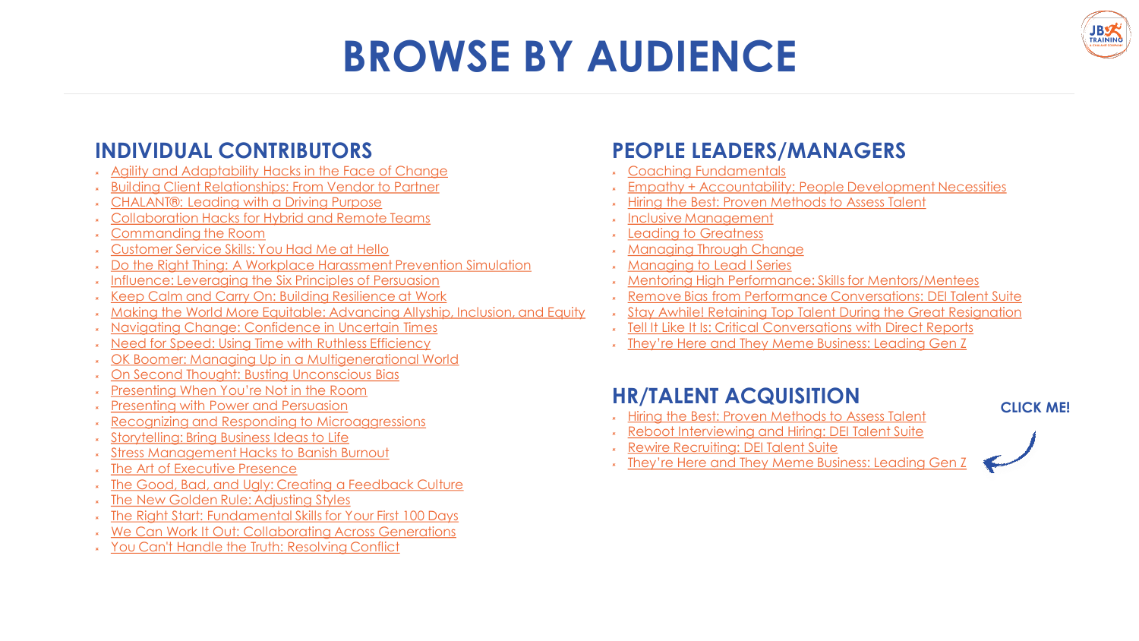## **BROWSE BY AUDIENCE**



- [Agility and Adaptability Hacks in the Face of Change](https://jbtrainingsolutions.com/training/agility-and-adaptability-hacks/)
- [Building Client Relationships: From Vendor to Partner](https://jbtrainingsolutions.com/training/building-client-relationships-2/)
- [CHALANT®: Leading with a Driving Purpose](https://jbtrainingsolutions.com/training/chalant/)
- [Collaboration Hacks for Hybrid and Remote Teams](https://jbtrainingsolutions.com/training/collaboration-hacks/)
- [Commanding the Room](https://jbtrainingsolutions.com/training/commanding-the-room-2/)
- [Customer Service Skills: You Had Me at Hello](https://jbtrainingsolutions.com/training/customer-service-skills/)
- [Do the Right Thing: A Workplace Harassment Prevention Simulation](https://jbtrainingsolutions.com/training/do-the-right-thing/)
- [Influence: Leveraging the Six Principles of Persuasion](https://jbtrainingsolutions.com/training/the-six-principles-of-influence/)
- [Keep Calm and Carry On: Building Resilience at Work](https://jbtrainingsolutions.com/training/building-resilience/)
- [Making the World More Equitable: Advancing Allyship, Inclusion, and Equity](https://jbtrainingsolutions.com/training/making-the-world-equitable-inclusion/)
- [Navigating Change: Confidence in Uncertain Times](https://jbtrainingsolutions.com/training/navigating-change/)
- [Need for Speed: Using Time with Ruthless Efficiency](https://jbtrainingsolutions.com/training/need-for-speed/)
- [OK Boomer: Managing Up in a Multigenerational World](https://jbtrainingsolutions.com/training/ok-boomer/)
- [On Second Thought: Busting Unconscious Bias](https://jbtrainingsolutions.com/training/unconscious-bias/)
- [Presenting When You're Not in the Room](https://jbtrainingsolutions.com/training/presenting-when-youre-not-in-the-room/)
- [Presenting with Power and Persuasion](https://jbtrainingsolutions.com/training/presenting-with-power-and-persuasion/)
- [Recognizing and Responding to Microaggressions](https://jbtrainingsolutions.com/training/microaggressions/)
- [Storytelling: Bring Business Ideas to Life](https://jbtrainingsolutions.com/training/storytelling/)
- [Stress Management Hacks to Banish Burnout](https://jbtrainingsolutions.com/training/stress-management-hacks/)
- [The Art of Executive Presence](https://jbtrainingsolutions.com/training/the-art-of-executive-presence/)
- [The Good, Bad, and Ugly: Creating a Feedback Culture](https://jbtrainingsolutions.com/training/good-bad-ugly-culture/)
- [The New Golden Rule: Adjusting Styles](https://jbtrainingsolutions.com/training/the-new-golden-rule/)
- [The Right Start: Fundamental Skills for Your First 100 Days](https://jbtrainingsolutions.com/training/the-right-start/)
- [We Can Work It Out: Collaborating Across Generations](https://jbtrainingsolutions.com/training/we-can-work-it-out/)
- [You Can't Handle the Truth: Resolving Conflict](https://jbtrainingsolutions.com/training/conflict-resolution/)

#### **PEOPLE LEADERS/MANAGERS**

- [Coaching Fundamentals](https://jbtrainingsolutions.com/training/coaching-from-afar/)
- [Empathy + Accountability: People Development Necessities](https://jbtrainingsolutions.com/training/empathy-accountability/)
- [Hiring the Best: Proven Methods to Assess Talent](https://jbtrainingsolutions.com/training/hiring-the-best/)
- [Inclusive Management](https://jbtrainingsolutions.com/training/inclusive-management/)
- [Leading to Greatness](https://jbtrainingsolutions.com/training/leading-to-greatness/)
- [Managing Through Change](https://jbtrainingsolutions.com/training/managing-through-change/)
- [Managing to Lead I Series](https://jbts.co/MTLseries)
- [Mentoring High Performance: Skills for Mentors/Mentees](https://jbtrainingsolutions.com/training/mentoring-high-performance/)
- [Remove Bias from Performance Conversations: DEI Talent Suite](https://jbtrainingsolutions.com/training/remove-bias-from-performance-conversations/)
- [Stay Awhile! Retaining Top Talent During the Great Resignation](https://jbtrainingsolutions.com/training/retaining-top-talent/)
- [Tell It Like It Is: Critical Conversations with Direct Reports](https://jbtrainingsolutions.com/training/tell-it-like-it-is/)
- [They're Here and They Meme Business: Leading Gen Z](https://jbtrainingsolutions.com/training/leading-gen-z/)

#### **HR/TALENT ACQUISITION**

- **KET [Hiring the Best: Proven Methods to Assess Talent](https://jbtrainingsolutions.com/training/hiring-the-best/)**
- [Reboot Interviewing and Hiring: DEI Talent Suite](https://jbtrainingsolutions.com/training/reboot-interviewing-and-hiring/)
- [Rewire Recruiting: DEI Talent Suite](https://jbtrainingsolutions.com/training/rewire-recruiting/)
- [They're Here and They Meme Business: Leading Gen Z](https://jbtrainingsolutions.com/training/leading-gen-z/)

#### **CLICK ME!**